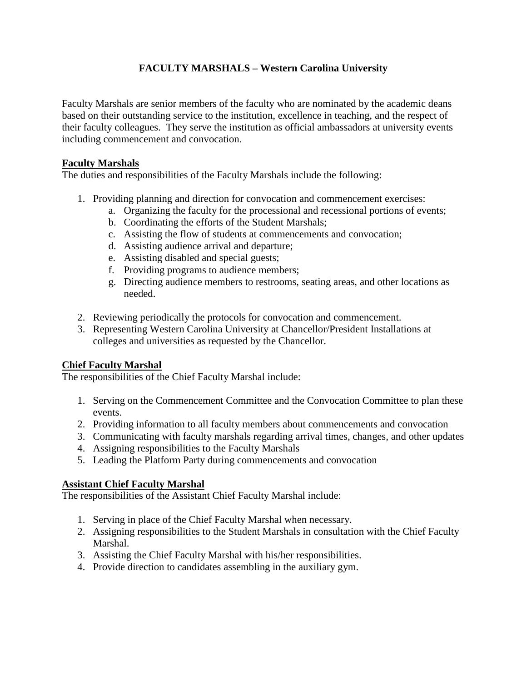# **FACULTY MARSHALS – Western Carolina University**

Faculty Marshals are senior members of the faculty who are nominated by the academic deans based on their outstanding service to the institution, excellence in teaching, and the respect of their faculty colleagues. They serve the institution as official ambassadors at university events including commencement and convocation.

#### **Faculty Marshals**

The duties and responsibilities of the Faculty Marshals include the following:

- 1. Providing planning and direction for convocation and commencement exercises:
	- a. Organizing the faculty for the processional and recessional portions of events;
		- b. Coordinating the efforts of the Student Marshals;
		- c. Assisting the flow of students at commencements and convocation;
		- d. Assisting audience arrival and departure;
		- e. Assisting disabled and special guests;
		- f. Providing programs to audience members;
	- g. Directing audience members to restrooms, seating areas, and other locations as needed.
- 2. Reviewing periodically the protocols for convocation and commencement.
- 3. Representing Western Carolina University at Chancellor/President Installations at colleges and universities as requested by the Chancellor.

# **Chief Faculty Marshal**

The responsibilities of the Chief Faculty Marshal include:

- 1. Serving on the Commencement Committee and the Convocation Committee to plan these events.
- 2. Providing information to all faculty members about commencements and convocation
- 3. Communicating with faculty marshals regarding arrival times, changes, and other updates
- 4. Assigning responsibilities to the Faculty Marshals
- 5. Leading the Platform Party during commencements and convocation

# **Assistant Chief Faculty Marshal**

The responsibilities of the Assistant Chief Faculty Marshal include:

- 1. Serving in place of the Chief Faculty Marshal when necessary.
- 2. Assigning responsibilities to the Student Marshals in consultation with the Chief Faculty Marshal.
- 3. Assisting the Chief Faculty Marshal with his/her responsibilities.
- 4. Provide direction to candidates assembling in the auxiliary gym.